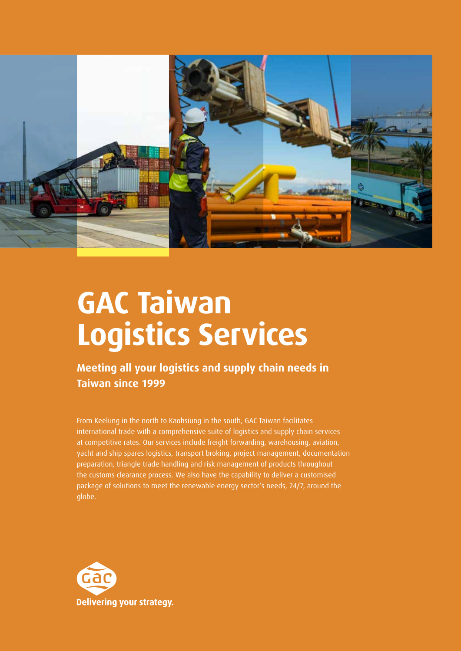

# **GAC Taiwan Logistics Services**

**Meeting all your logistics and supply chain needs in Taiwan since 1999**

From Keelung in the north to Kaohsiung in the south, GAC Taiwan facilitates international trade with a comprehensive suite of logistics and supply chain services at competitive rates. Our services include freight forwarding, warehousing, aviation, yacht and ship spares logistics, transport broking, project management, documentation preparation, triangle trade handling and risk management of products throughout the customs clearance process. We also have the capability to deliver a customised package of solutions to meet the renewable energy sector's needs, 24/7, around the globe.